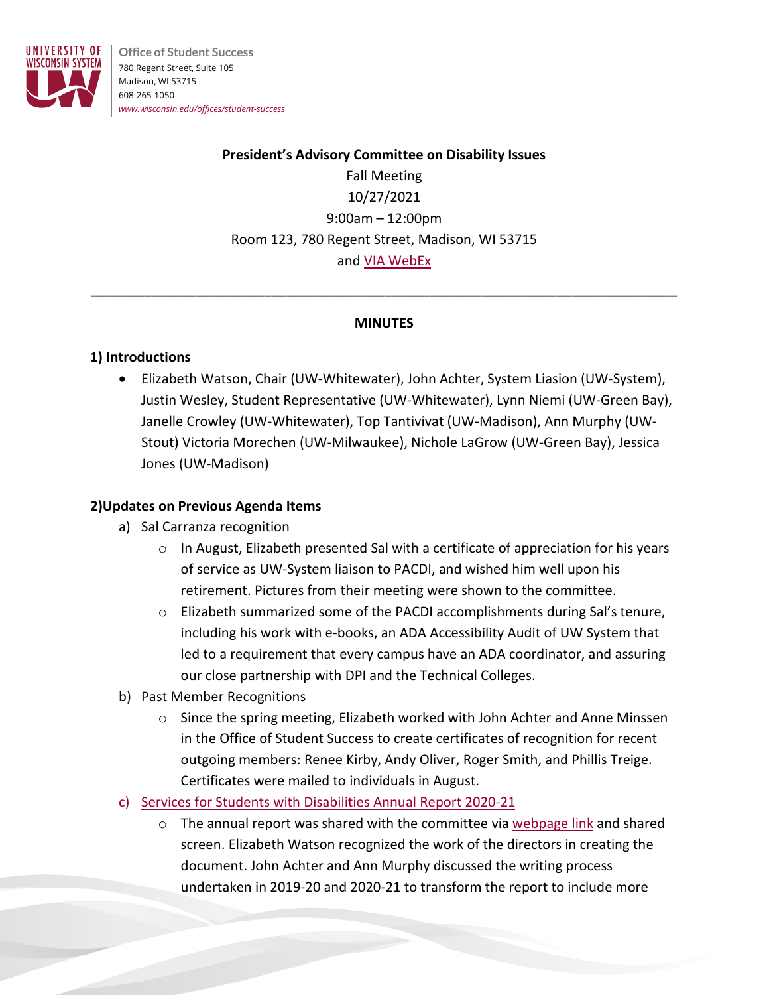

**Office of Student Success** 780 Regent Street, Suite 105 Madison, WI 53715 608-265-1050 *[www.wisconsin.edu/offices/student-success](http://www.wisconsin.edu/offices/student-success)*

# **President's Advisory Committee on Disability Issues** Fall Meeting 10/27/2021 9:00am – 12:00pm Room 123, 780 Regent Street, Madison, WI 53715 and [VIA WebEx](https://wisconsin.webex.com/wisconsin/j.php?MTID=m9dc8f9c835a8297e5979c9289a800238)

#### **MINUTES**

\_\_\_\_\_\_\_\_\_\_\_\_\_\_\_\_\_\_\_\_\_\_\_\_\_\_\_\_\_\_\_\_\_\_\_\_\_\_\_\_\_\_\_\_\_\_\_\_\_\_\_\_\_\_\_\_\_\_\_\_\_\_\_\_\_\_\_\_\_\_\_\_\_\_\_\_\_\_

### **1) Introductions**

• Elizabeth Watson, Chair (UW-Whitewater), John Achter, System Liasion (UW-System), Justin Wesley, Student Representative (UW-Whitewater), Lynn Niemi (UW-Green Bay), Janelle Crowley (UW-Whitewater), Top Tantivivat (UW-Madison), Ann Murphy (UW-Stout) Victoria Morechen (UW-Milwaukee), Nichole LaGrow (UW-Green Bay), Jessica Jones (UW-Madison)

### **2)Updates on Previous Agenda Items**

- a) Sal Carranza recognition
	- $\circ$  In August, Elizabeth presented Sal with a certificate of appreciation for his years of service as UW-System liaison to PACDI, and wished him well upon his retirement. Pictures from their meeting were shown to the committee.
	- o Elizabeth summarized some of the PACDI accomplishments during Sal's tenure, including his work with e-books, an ADA Accessibility Audit of UW System that led to a requirement that every campus have an ADA coordinator, and assuring our close partnership with DPI and the Technical Colleges.
- b) Past Member Recognitions
	- o Since the spring meeting, Elizabeth worked with John Achter and Anne Minssen in the Office of Student Success to create certificates of recognition for recent outgoing members: Renee Kirby, Andy Oliver, Roger Smith, and Phillis Treige. Certificates were mailed to individuals in August.
- c) [Services for Students with Disabilities](https://www.wisconsin.edu/disability-resources/download/2020.21-UWSA_DisabilityServices_AnnualReport_FINAL(2).pdf) Annual Report 2020-21
	- $\circ$  The annual report was shared with the committee via [webpage link](https://www.wisconsin.edu/disability-resources/download/2020.21-UWSA_DisabilityServices_AnnualReport_FINAL(2).pdf) and shared screen. Elizabeth Watson recognized the work of the directors in creating the document. John Achter and Ann Murphy discussed the writing process undertaken in 2019-20 and 2020-21 to transform the report to include more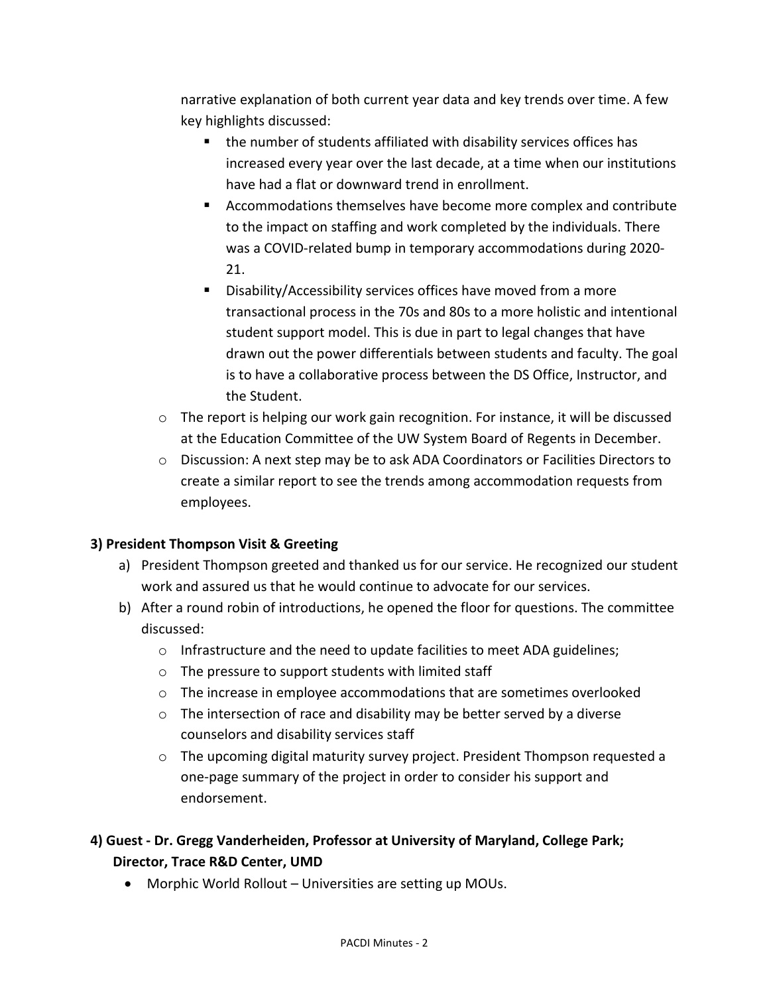narrative explanation of both current year data and key trends over time. A few key highlights discussed:

- the number of students affiliated with disability services offices has increased every year over the last decade, at a time when our institutions have had a flat or downward trend in enrollment.
- Accommodations themselves have become more complex and contribute to the impact on staffing and work completed by the individuals. There was a COVID-related bump in temporary accommodations during 2020- 21.
- **Disability/Accessibility services offices have moved from a more** transactional process in the 70s and 80s to a more holistic and intentional student support model. This is due in part to legal changes that have drawn out the power differentials between students and faculty. The goal is to have a collaborative process between the DS Office, Instructor, and the Student.
- $\circ$  The report is helping our work gain recognition. For instance, it will be discussed at the Education Committee of the UW System Board of Regents in December.
- o Discussion: A next step may be to ask ADA Coordinators or Facilities Directors to create a similar report to see the trends among accommodation requests from employees.

### **3) President Thompson Visit & Greeting**

- a) President Thompson greeted and thanked us for our service. He recognized our student work and assured us that he would continue to advocate for our services.
- b) After a round robin of introductions, he opened the floor for questions. The committee discussed:
	- o Infrastructure and the need to update facilities to meet ADA guidelines;
	- o The pressure to support students with limited staff
	- $\circ$  The increase in employee accommodations that are sometimes overlooked
	- o The intersection of race and disability may be better served by a diverse counselors and disability services staff
	- $\circ$  The upcoming digital maturity survey project. President Thompson requested a one-page summary of the project in order to consider his support and endorsement.

# **4) Guest - Dr. Gregg Vanderheiden, Professor at University of Maryland, College Park; Director, Trace R&D Center, UMD**

• Morphic World Rollout – Universities are setting up MOUs.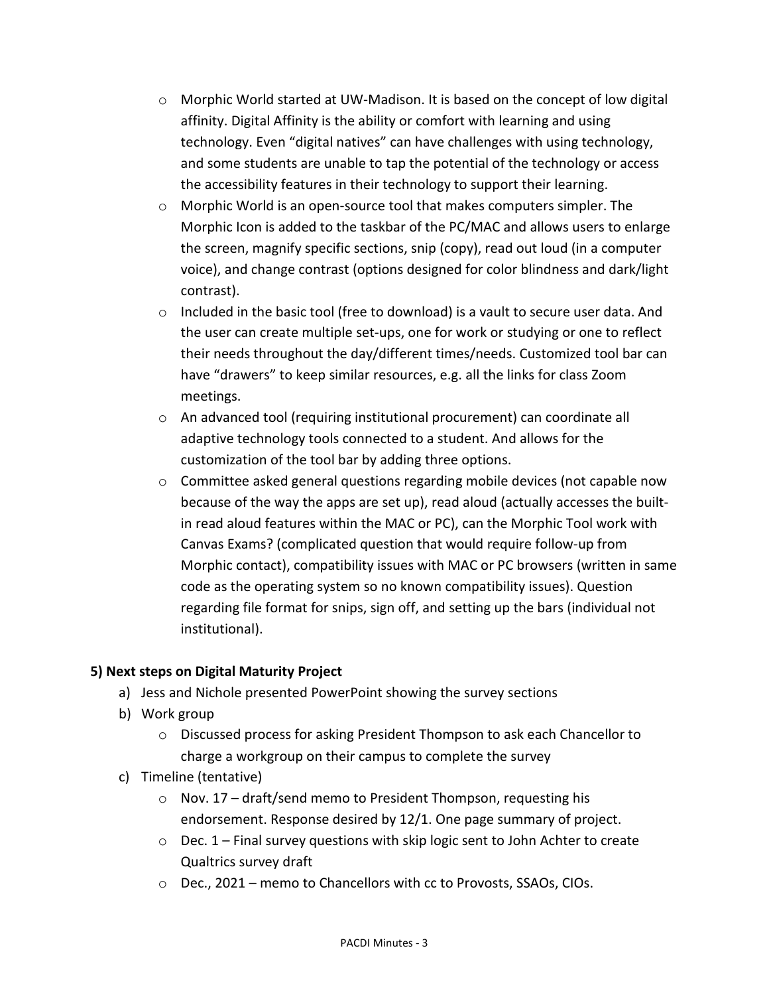- $\circ$  Morphic World started at UW-Madison. It is based on the concept of low digital affinity. Digital Affinity is the ability or comfort with learning and using technology. Even "digital natives" can have challenges with using technology, and some students are unable to tap the potential of the technology or access the accessibility features in their technology to support their learning.
- o Morphic World is an open-source tool that makes computers simpler. The Morphic Icon is added to the taskbar of the PC/MAC and allows users to enlarge the screen, magnify specific sections, snip (copy), read out loud (in a computer voice), and change contrast (options designed for color blindness and dark/light contrast).
- $\circ$  Included in the basic tool (free to download) is a vault to secure user data. And the user can create multiple set-ups, one for work or studying or one to reflect their needs throughout the day/different times/needs. Customized tool bar can have "drawers" to keep similar resources, e.g. all the links for class Zoom meetings.
- o An advanced tool (requiring institutional procurement) can coordinate all adaptive technology tools connected to a student. And allows for the customization of the tool bar by adding three options.
- o Committee asked general questions regarding mobile devices (not capable now because of the way the apps are set up), read aloud (actually accesses the builtin read aloud features within the MAC or PC), can the Morphic Tool work with Canvas Exams? (complicated question that would require follow-up from Morphic contact), compatibility issues with MAC or PC browsers (written in same code as the operating system so no known compatibility issues). Question regarding file format for snips, sign off, and setting up the bars (individual not institutional).

### **5) Next steps on Digital Maturity Project**

- a) Jess and Nichole presented PowerPoint showing the survey sections
- b) Work group
	- o Discussed process for asking President Thompson to ask each Chancellor to charge a workgroup on their campus to complete the survey
- c) Timeline (tentative)
	- o Nov. 17 draft/send memo to President Thompson, requesting his endorsement. Response desired by 12/1. One page summary of project.
	- $\circ$  Dec. 1 Final survey questions with skip logic sent to John Achter to create Qualtrics survey draft
	- o Dec., 2021 memo to Chancellors with cc to Provosts, SSAOs, CIOs.